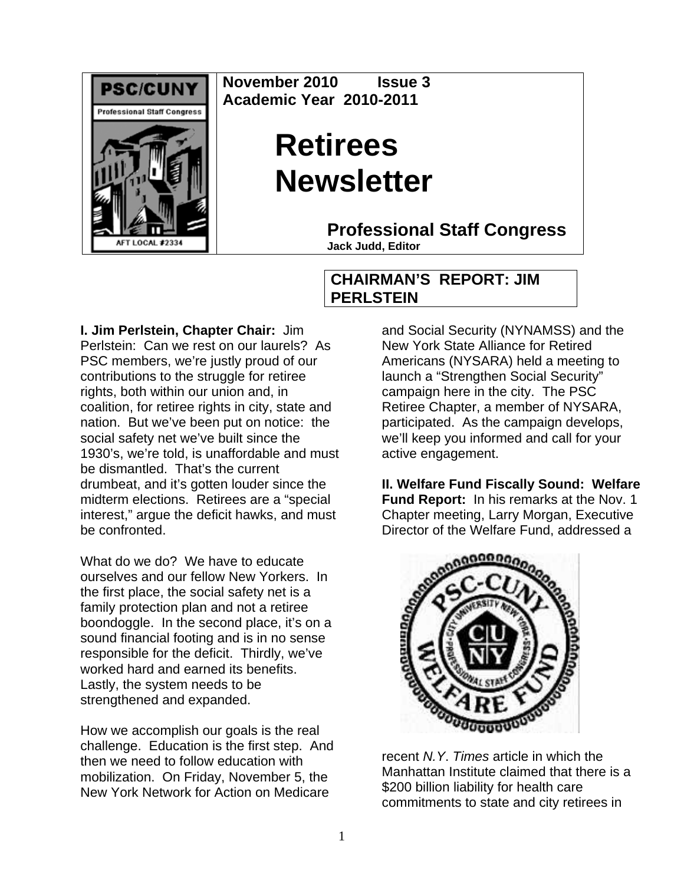

**November 2010 Issue 3 Academic Year 2010-2011** 

## **Retirees Newsletter**

**Professional Staff Congress**

**Jack Judd, Editor**

## **CHAIRMAN'S REPORT: JIM PERLSTEIN**

**I. Jim Perlstein, Chapter Chair:** Jim Perlstein: Can we rest on our laurels? As PSC members, we're justly proud of our contributions to the struggle for retiree rights, both within our union and, in coalition, for retiree rights in city, state and nation. But we've been put on notice: the social safety net we've built since the 1930's, we're told, is unaffordable and must be dismantled. That's the current drumbeat, and it's gotten louder since the midterm elections. Retirees are a "special interest," argue the deficit hawks, and must be confronted.

What do we do? We have to educate ourselves and our fellow New Yorkers. In the first place, the social safety net is a family protection plan and not a retiree boondoggle. In the second place, it's on a sound financial footing and is in no sense responsible for the deficit. Thirdly, we've worked hard and earned its benefits. Lastly, the system needs to be strengthened and expanded.

How we accomplish our goals is the real challenge. Education is the first step. And then we need to follow education with mobilization. On Friday, November 5, the New York Network for Action on Medicare

and Social Security (NYNAMSS) and the New York State Alliance for Retired Americans (NYSARA) held a meeting to launch a "Strengthen Social Security" campaign here in the city. The PSC Retiree Chapter, a member of NYSARA, participated. As the campaign develops, we'll keep you informed and call for your active engagement.

**II. Welfare Fund Fiscally Sound: Welfare Fund Report:** In his remarks at the Nov. 1 Chapter meeting, Larry Morgan, Executive Director of the Welfare Fund, addressed a



recent *N.Y*. *Times* article in which the Manhattan Institute claimed that there is a \$200 billion liability for health care commitments to state and city retirees in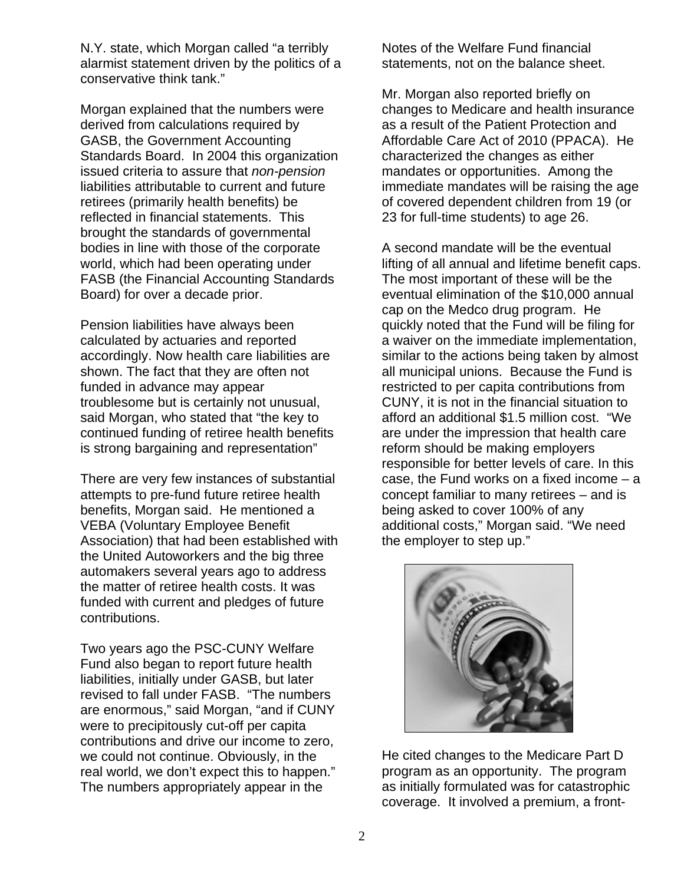N.Y. state, which Morgan called "a terribly alarmist statement driven by the politics of a conservative think tank."

Morgan explained that the numbers were derived from calculations required by GASB, the Government Accounting Standards Board. In 2004 this organization issued criteria to assure that *non-pension* liabilities attributable to current and future retirees (primarily health benefits) be reflected in financial statements. This brought the standards of governmental bodies in line with those of the corporate world, which had been operating under FASB (the Financial Accounting Standards Board) for over a decade prior.

Pension liabilities have always been calculated by actuaries and reported accordingly. Now health care liabilities are shown. The fact that they are often not funded in advance may appear troublesome but is certainly not unusual, said Morgan, who stated that "the key to continued funding of retiree health benefits is strong bargaining and representation"

There are very few instances of substantial attempts to pre-fund future retiree health benefits, Morgan said. He mentioned a VEBA (Voluntary Employee Benefit Association) that had been established with the United Autoworkers and the big three automakers several years ago to address the matter of retiree health costs. It was funded with current and pledges of future contributions.

Two years ago the PSC-CUNY Welfare Fund also began to report future health liabilities, initially under GASB, but later revised to fall under FASB. "The numbers are enormous," said Morgan, "and if CUNY were to precipitously cut-off per capita contributions and drive our income to zero, we could not continue. Obviously, in the real world, we don't expect this to happen." The numbers appropriately appear in the

Notes of the Welfare Fund financial statements, not on the balance sheet.

Mr. Morgan also reported briefly on changes to Medicare and health insurance as a result of the Patient Protection and Affordable Care Act of 2010 (PPACA). He characterized the changes as either mandates or opportunities. Among the immediate mandates will be raising the age of covered dependent children from 19 (or 23 for full-time students) to age 26.

A second mandate will be the eventual lifting of all annual and lifetime benefit caps. The most important of these will be the eventual elimination of the \$10,000 annual cap on the Medco drug program. He quickly noted that the Fund will be filing for a waiver on the immediate implementation, similar to the actions being taken by almost all municipal unions. Because the Fund is restricted to per capita contributions from CUNY, it is not in the financial situation to afford an additional \$1.5 million cost. "We are under the impression that health care reform should be making employers responsible for better levels of care. In this case, the Fund works on a fixed income – a concept familiar to many retirees – and is being asked to cover 100% of any additional costs," Morgan said. "We need the employer to step up."



He cited changes to the Medicare Part D program as an opportunity. The program as initially formulated was for catastrophic coverage. It involved a premium, a front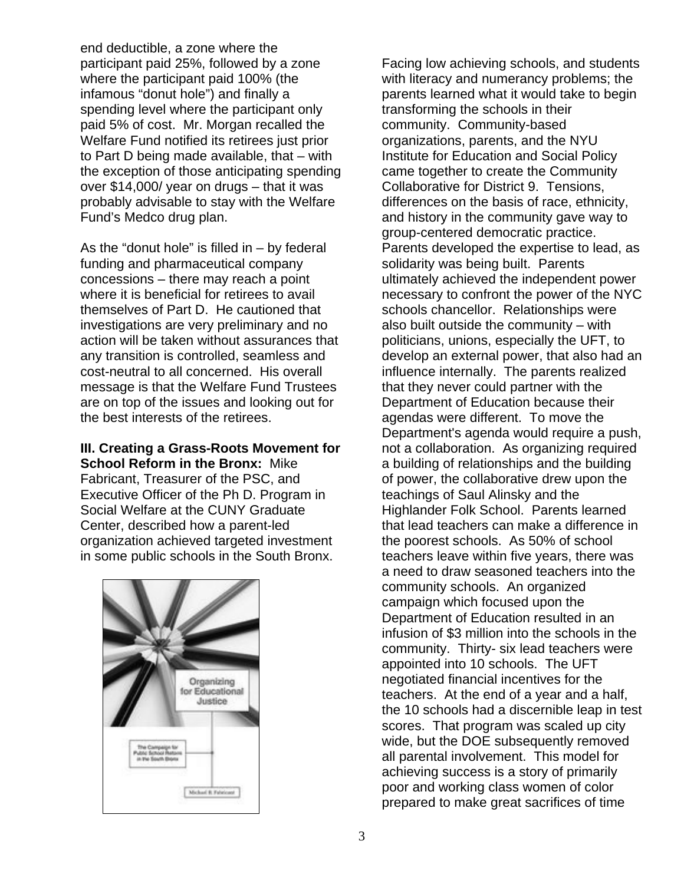end deductible, a zone where the participant paid 25%, followed by a zone where the participant paid 100% (the infamous "donut hole") and finally a spending level where the participant only paid 5% of cost. Mr. Morgan recalled the Welfare Fund notified its retirees just prior to Part D being made available, that – with the exception of those anticipating spending over \$14,000/ year on drugs – that it was probably advisable to stay with the Welfare Fund's Medco drug plan.

As the "donut hole" is filled in  $-$  by federal funding and pharmaceutical company concessions – there may reach a point where it is beneficial for retirees to avail themselves of Part D. He cautioned that investigations are very preliminary and no action will be taken without assurances that any transition is controlled, seamless and cost-neutral to all concerned. His overall message is that the Welfare Fund Trustees are on top of the issues and looking out for the best interests of the retirees.

**III. Creating a Grass-Roots Movement for School Reform in the Bronx:** Mike Fabricant, Treasurer of the PSC, and Executive Officer of the Ph D. Program in Social Welfare at the CUNY Graduate Center, described how a parent-led organization achieved targeted investment in some public schools in the South Bronx.



Facing low achieving schools, and students with literacy and numerancy problems; the parents learned what it would take to begin transforming the schools in their community. Community-based organizations, parents, and the NYU Institute for Education and Social Policy came together to create the Community Collaborative for District 9. Tensions, differences on the basis of race, ethnicity, and history in the community gave way to group-centered democratic practice. Parents developed the expertise to lead, as solidarity was being built. Parents ultimately achieved the independent power necessary to confront the power of the NYC schools chancellor. Relationships were also built outside the community – with politicians, unions, especially the UFT, to develop an external power, that also had an influence internally. The parents realized that they never could partner with the Department of Education because their agendas were different. To move the Department's agenda would require a push, not a collaboration. As organizing required a building of relationships and the building of power, the collaborative drew upon the teachings of Saul Alinsky and the Highlander Folk School. Parents learned that lead teachers can make a difference in the poorest schools. As 50% of school teachers leave within five years, there was a need to draw seasoned teachers into the community schools. An organized campaign which focused upon the Department of Education resulted in an infusion of \$3 million into the schools in the community. Thirty- six lead teachers were appointed into 10 schools. The UFT negotiated financial incentives for the teachers. At the end of a year and a half, the 10 schools had a discernible leap in test scores. That program was scaled up city wide, but the DOE subsequently removed all parental involvement. This model for achieving success is a story of primarily poor and working class women of color prepared to make great sacrifices of time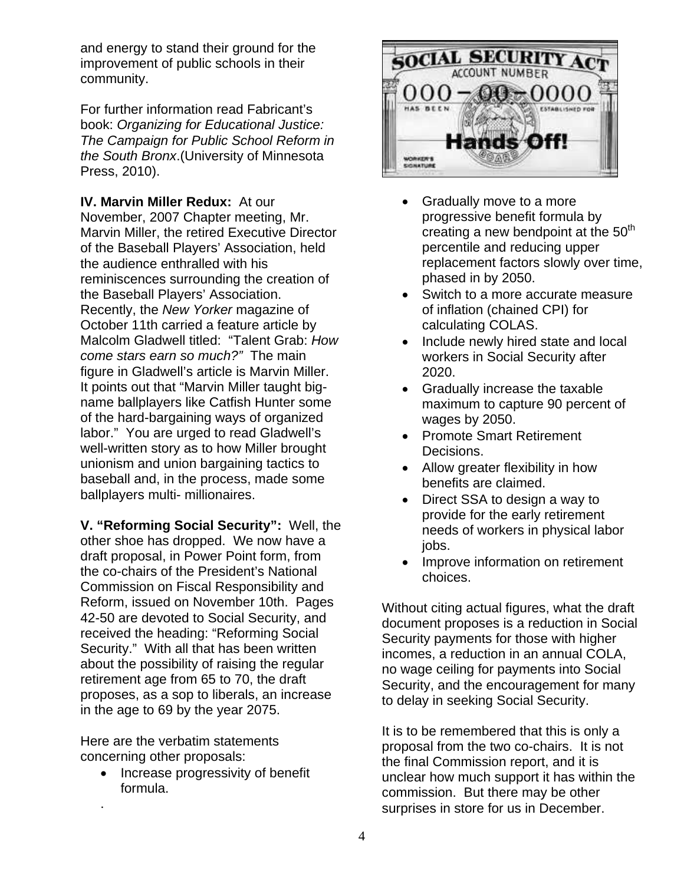and energy to stand their ground for the improvement of public schools in their community.

For further information read Fabricant's book: *Organizing for Educational Justice: The Campaign for Public School Reform in the South Bronx*.(University of Minnesota Press, 2010).

**IV. Marvin Miller Redux:** At our November, 2007 Chapter meeting, Mr. Marvin Miller, the retired Executive Director of the Baseball Players' Association, held the audience enthralled with his reminiscences surrounding the creation of the Baseball Players' Association. Recently, the *New Yorker* magazine of October 11th carried a feature article by Malcolm Gladwell titled: "Talent Grab: *How come stars earn so much?"* The main figure in Gladwell's article is Marvin Miller. It points out that "Marvin Miller taught bigname ballplayers like Catfish Hunter some of the hard-bargaining ways of organized labor." You are urged to read Gladwell's well-written story as to how Miller brought unionism and union bargaining tactics to baseball and, in the process, made some ballplayers multi- millionaires.

**V. "Reforming Social Security":** Well, the other shoe has dropped. We now have a draft proposal, in Power Point form, from the co-chairs of the President's National Commission on Fiscal Responsibility and Reform, issued on November 10th. Pages 42-50 are devoted to Social Security, and received the heading: "Reforming Social Security." With all that has been written about the possibility of raising the regular retirement age from 65 to 70, the draft proposes, as a sop to liberals, an increase in the age to 69 by the year 2075.

Here are the verbatim statements concerning other proposals:

.

• Increase progressivity of benefit formula.



- Gradually move to a more progressive benefit formula by creating a new bendpoint at the  $50<sup>th</sup>$ percentile and reducing upper replacement factors slowly over time, phased in by 2050.
- Switch to a more accurate measure of inflation (chained CPI) for calculating COLAS.
- Include newly hired state and local workers in Social Security after 2020.
- Gradually increase the taxable maximum to capture 90 percent of wages by 2050.
- Promote Smart Retirement Decisions.
- Allow greater flexibility in how benefits are claimed.
- Direct SSA to design a way to provide for the early retirement needs of workers in physical labor jobs.
- Improve information on retirement choices.

Without citing actual figures, what the draft document proposes is a reduction in Social Security payments for those with higher incomes, a reduction in an annual COLA, no wage ceiling for payments into Social Security, and the encouragement for many to delay in seeking Social Security.

It is to be remembered that this is only a proposal from the two co-chairs. It is not the final Commission report, and it is unclear how much support it has within the commission. But there may be other surprises in store for us in December.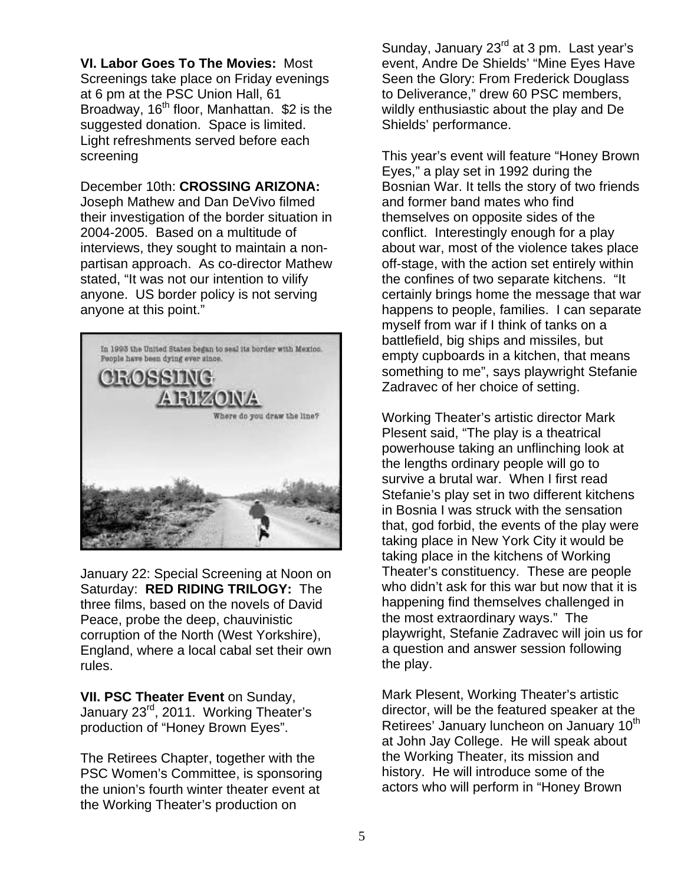**VI. Labor Goes To The Movies:** Most Screenings take place on Friday evenings at 6 pm at the PSC Union Hall, 61 Broadway, 16<sup>th</sup> floor, Manhattan. \$2 is the suggested donation. Space is limited. Light refreshments served before each screening

December 10th: **CROSSING ARIZONA:**  Joseph Mathew and Dan DeVivo filmed their investigation of the border situation in 2004-2005. Based on a multitude of interviews, they sought to maintain a nonpartisan approach. As co-director Mathew stated, "It was not our intention to vilify anyone. US border policy is not serving anyone at this point."



January 22: Special Screening at Noon on Saturday: **RED RIDING TRILOGY:** The three films, based on the novels of David Peace, probe the deep, chauvinistic corruption of the North (West Yorkshire), England, where a local cabal set their own rules.

**VII. PSC Theater Event** on Sunday, January 23rd, 2011. Working Theater's production of "Honey Brown Eyes".

The Retirees Chapter, together with the PSC Women's Committee, is sponsoring the union's fourth winter theater event at the Working Theater's production on

Sunday, January 23<sup>rd</sup> at 3 pm. Last year's event, Andre De Shields' "Mine Eyes Have Seen the Glory: From Frederick Douglass to Deliverance," drew 60 PSC members, wildly enthusiastic about the play and De Shields' performance.

This year's event will feature "Honey Brown Eyes," a play set in 1992 during the Bosnian War. It tells the story of two friends and former band mates who find themselves on opposite sides of the conflict. Interestingly enough for a play about war, most of the violence takes place off-stage, with the action set entirely within the confines of two separate kitchens. "It certainly brings home the message that war happens to people, families. I can separate myself from war if I think of tanks on a battlefield, big ships and missiles, but empty cupboards in a kitchen, that means something to me", says playwright Stefanie Zadravec of her choice of setting.

Working Theater's artistic director Mark Plesent said, "The play is a theatrical powerhouse taking an unflinching look at the lengths ordinary people will go to survive a brutal war. When I first read Stefanie's play set in two different kitchens in Bosnia I was struck with the sensation that, god forbid, the events of the play were taking place in New York City it would be taking place in the kitchens of Working Theater's constituency. These are people who didn't ask for this war but now that it is happening find themselves challenged in the most extraordinary ways." The playwright, Stefanie Zadravec will join us for a question and answer session following the play.

Mark Plesent, Working Theater's artistic director, will be the featured speaker at the Retirees' January luncheon on January 10<sup>th</sup> at John Jay College. He will speak about the Working Theater, its mission and history. He will introduce some of the actors who will perform in "Honey Brown